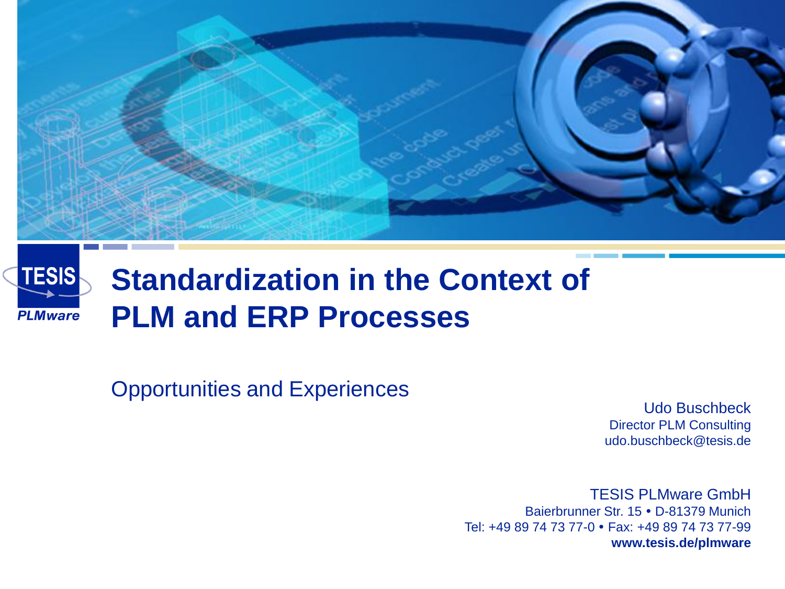

#### **TESIS Standardization in the Context of PLM and ERP Processes PLMware**

Opportunities and Experiences

Udo Buschbeck Director PLM Consulting udo.buschbeck@tesis.de

TESIS PLMware GmbH Baierbrunner Str. 15 · D-81379 Munich Tel: +49 89 74 73 77-0 Fax: +49 89 74 73 77-99 **www.tesis.de/plmware**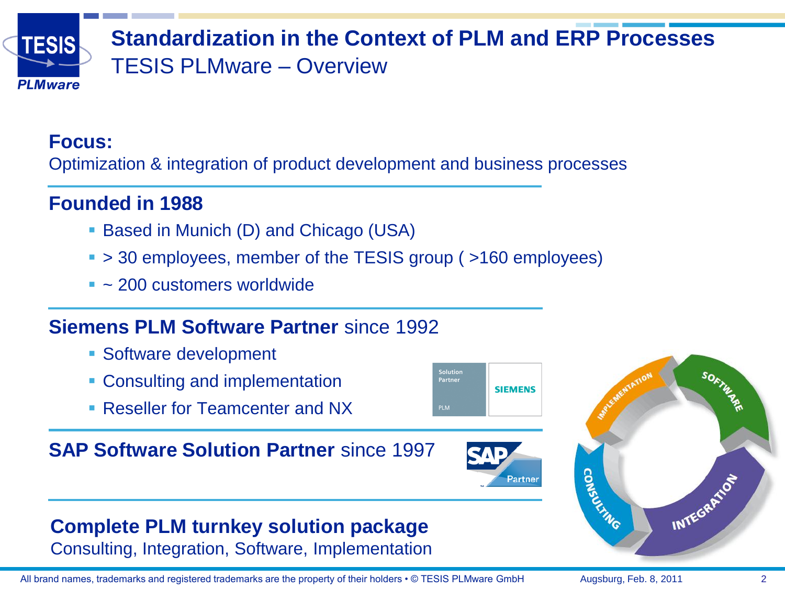

### **Standardization in the Context of PLM and ERP Processes** TESIS PLMware – Overview

### **Focus:**

Optimization & integration of product development and business processes

### **Founded in 1988**

- Based in Munich (D) and Chicago (USA)
- > 30 employees, member of the TESIS group ( >160 employees)
- $\sim$  200 customers worldwide

### **Siemens PLM Software Partner** since 1992

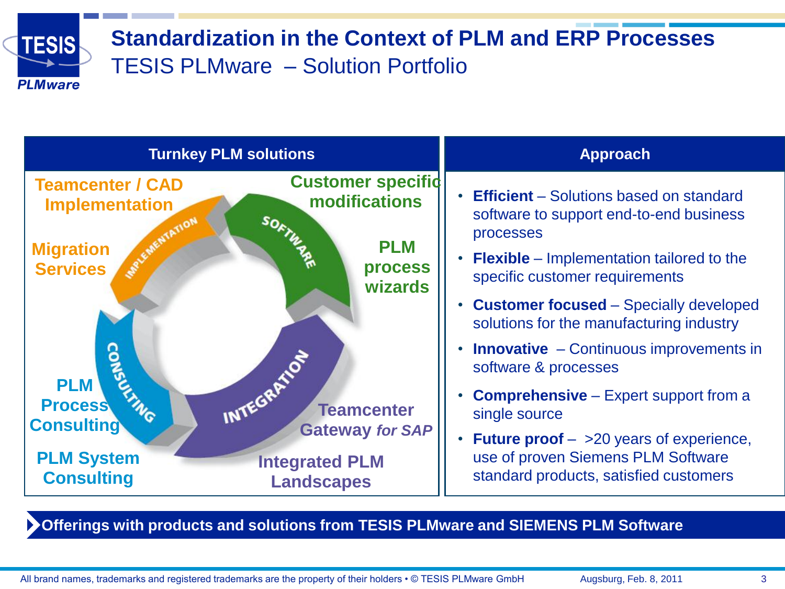

### **Standardization in the Context of PLM and ERP Processes** TESIS PLMware – Solution Portfolio



**Offerings with products and solutions from TESIS PLMware and SIEMENS PLM Software**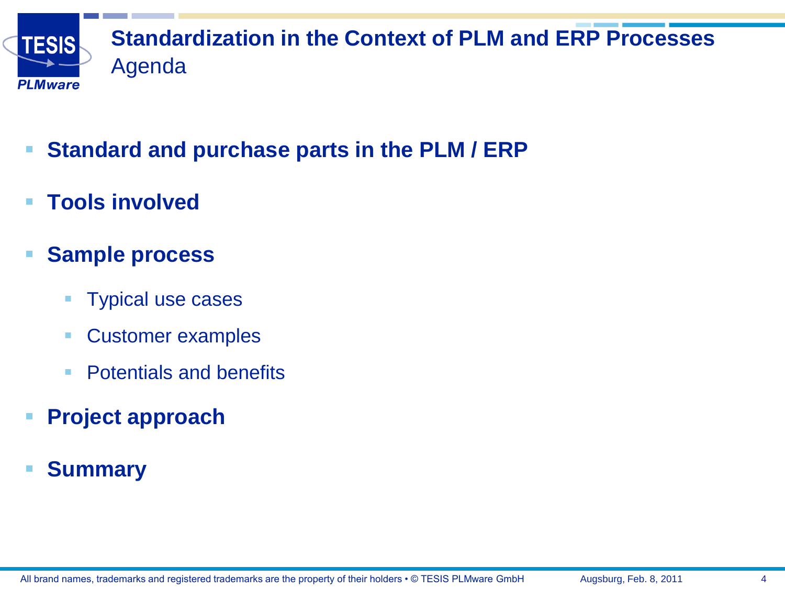

- **Standard and purchase parts in the PLM / ERP**
- **Tools involved**
- **F** Sample process
	- **Typical use cases**
	- Customer examples
	- **Potentials and benefits**
- **Project approach**
- **Summary**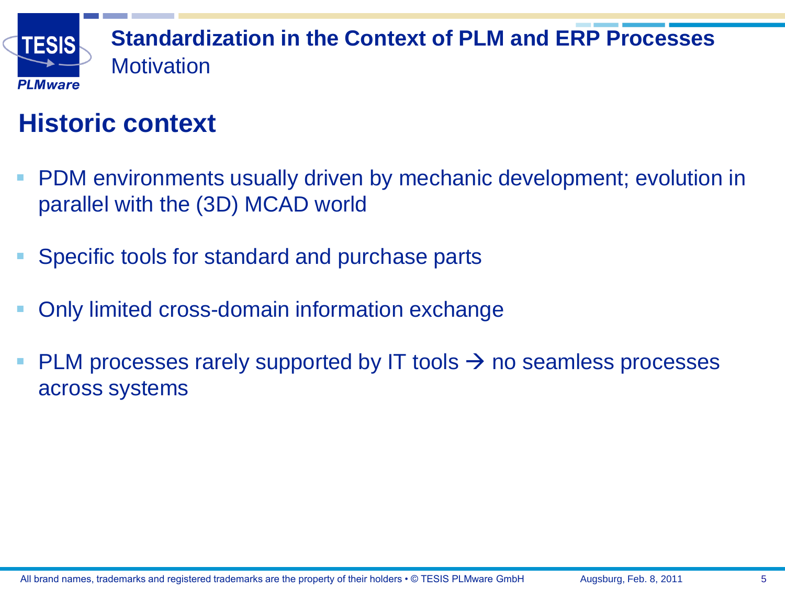

## **Standardization in the Context of PLM and ERP Processes** Motivation

## **Historic context**

- **PDM** environments usually driven by mechanic development; evolution in parallel with the (3D) MCAD world
- Specific tools for standard and purchase parts
- Only limited cross-domain information exchange
- <span id="page-4-0"></span>PLM processes rarely supported by IT tools  $\rightarrow$  no seamless processes across systems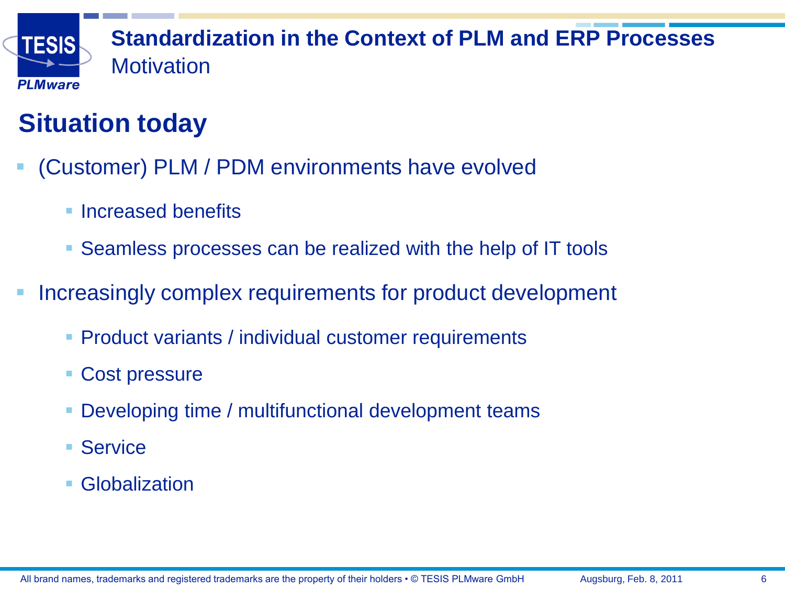

### **Standardization in the Context of PLM and ERP Processes Motivation**

# **Situation today**

- (Customer) PLM / PDM environments have evolved
	- **Increased benefits**
	- Seamless processes can be realized with the help of IT tools
- Increasingly complex requirements for product development
	- Product variants / individual customer requirements
	- Cost pressure
	- Developing time / multifunctional development teams
	- Service
	- Globalization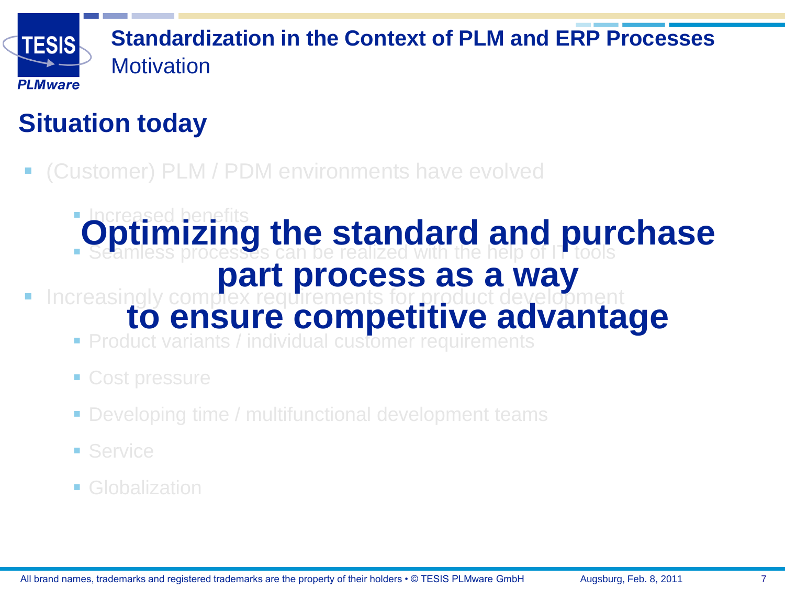

## **Standardization in the Context of PLM and ERP Processes** Motivation

# **Situation today**

(Customer) PLM / PDM environments have evolved

### **Increased benefits Seamless processes can be realized with the help of IT tools Optimizing the standard and purchase**

# **part process as a way**

- **Increasingly complex requirements for product development to ensure competitive advantage**
	- **Product variants / individual customer requirements**
	- Cost pressure
	- Developing time / multifunctional development teams
	- Service
	- Globalization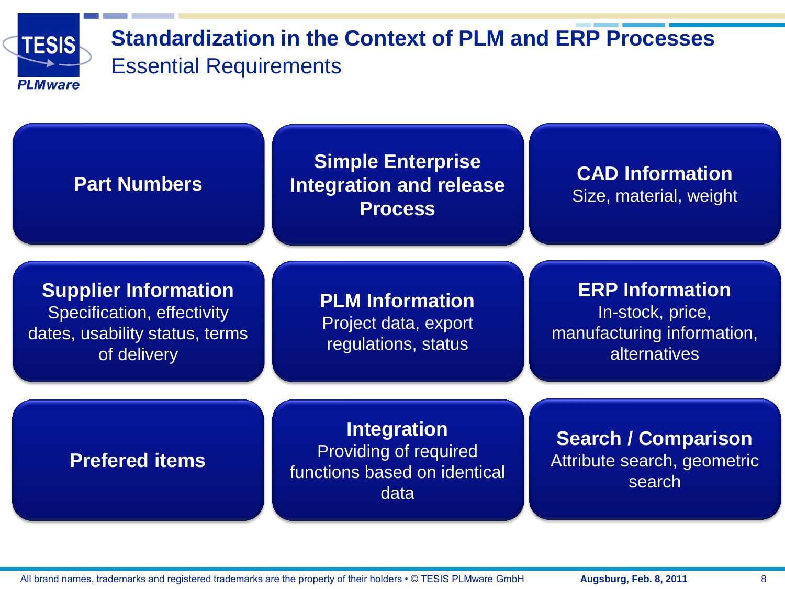

### **Standardization in the Context of PLM and ERP Processes** Essential Requirements

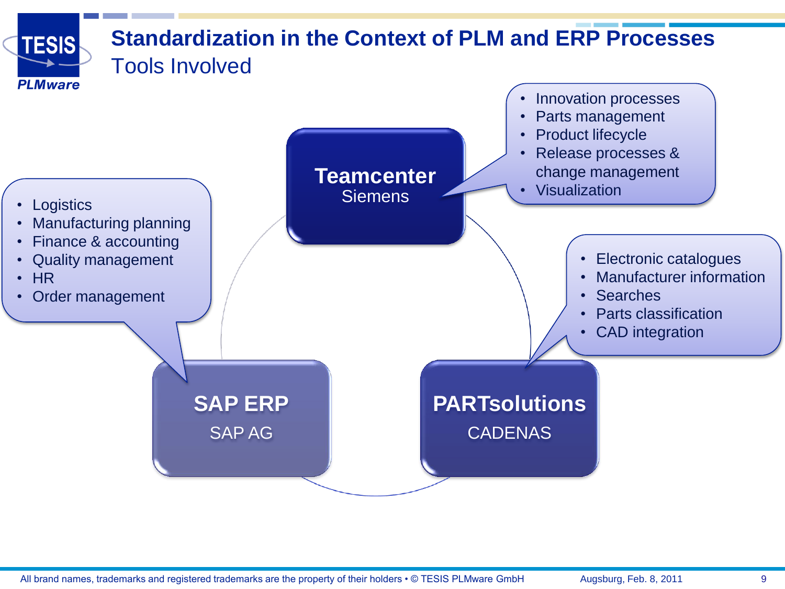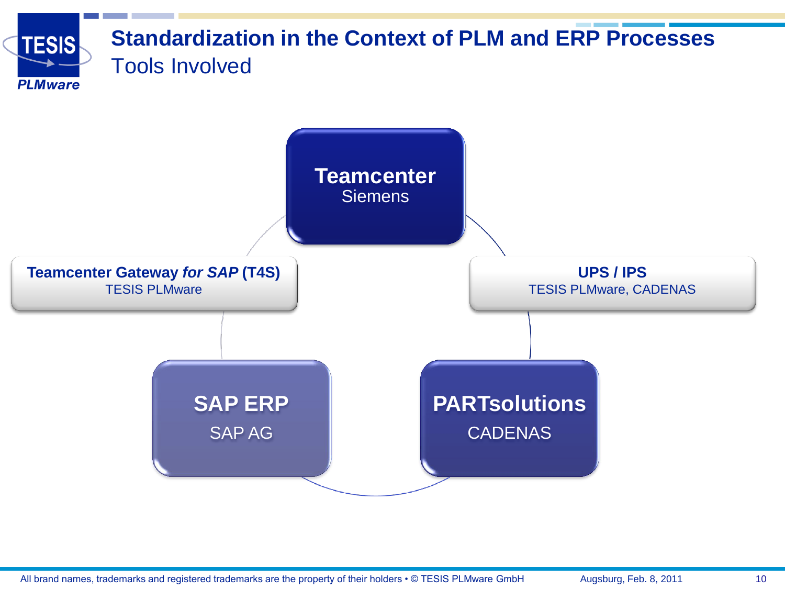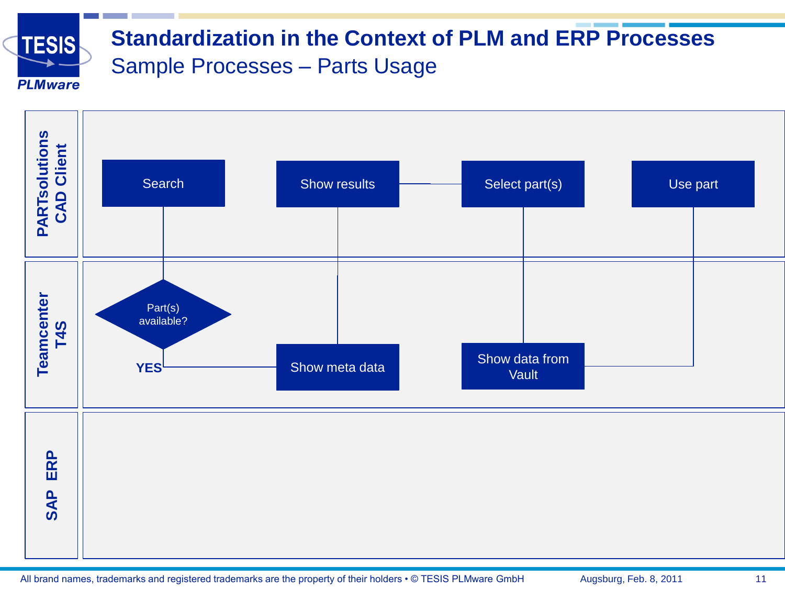

### **Standardization in the Context of PLM and ERP Processes** Sample Processes – Parts Usage

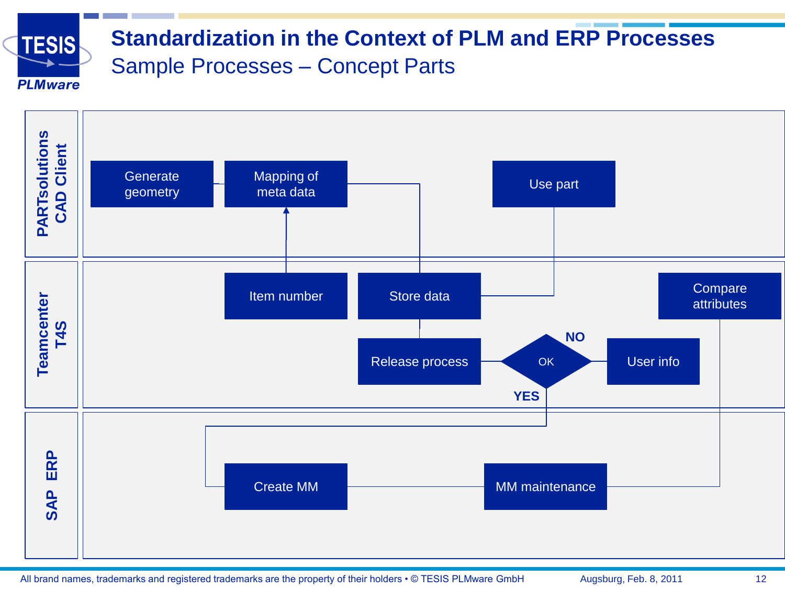

### **Standardization in the Context of PLM and ERP Processes** Sample Processes – Concept Parts

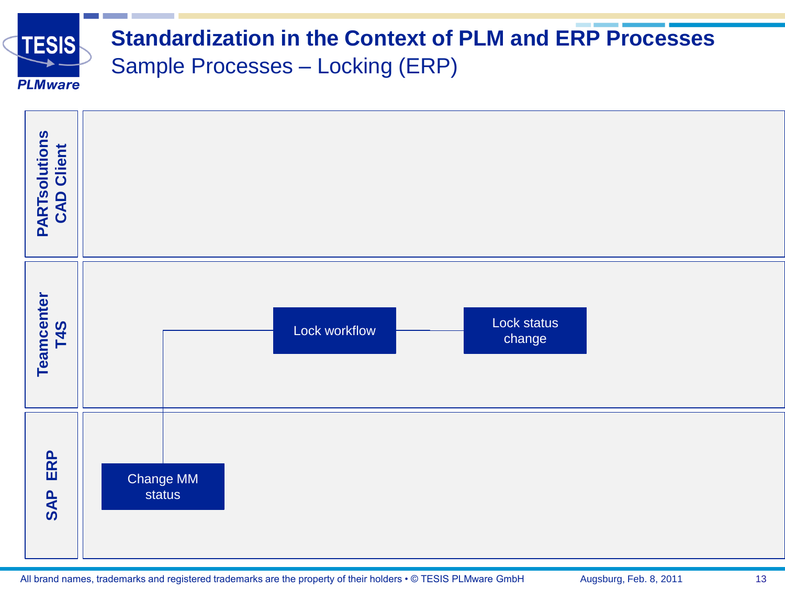

### **Standardization in the Context of PLM and ERP Processes** Sample Processes – Locking (ERP)

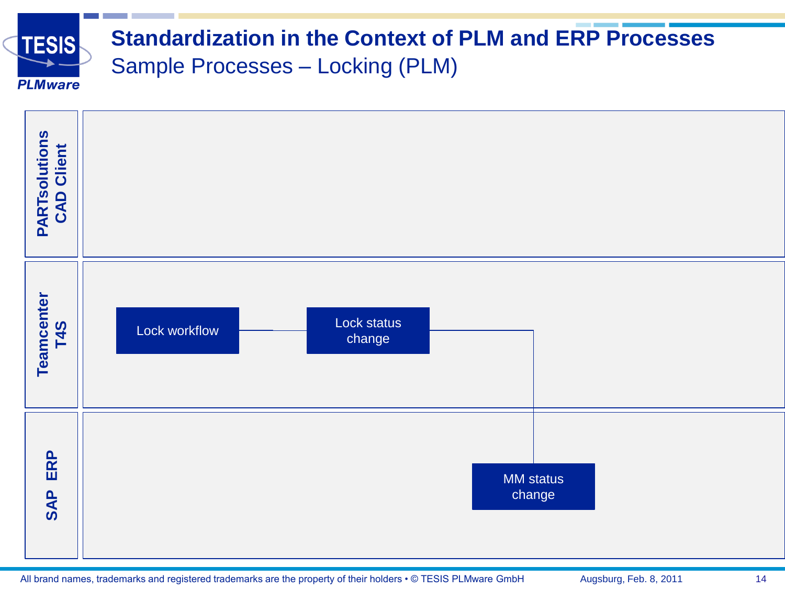

### **Standardization in the Context of PLM and ERP Processes** Sample Processes – Locking (PLM)

| <b>PARTsolutions</b><br>CAD Client |                                        |  |
|------------------------------------|----------------------------------------|--|
| Teamcenter<br>T4S                  | Lock status<br>Lock workflow<br>change |  |
| ERP<br><b>SAP</b>                  | <b>MM</b> status<br>change             |  |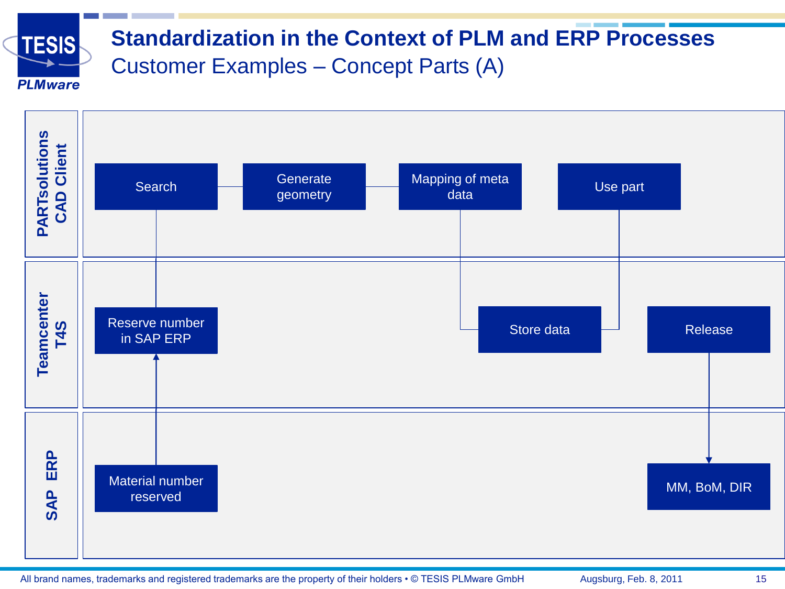

### **Standardization in the Context of PLM and ERP Processes** Customer Examples – Concept Parts (A)

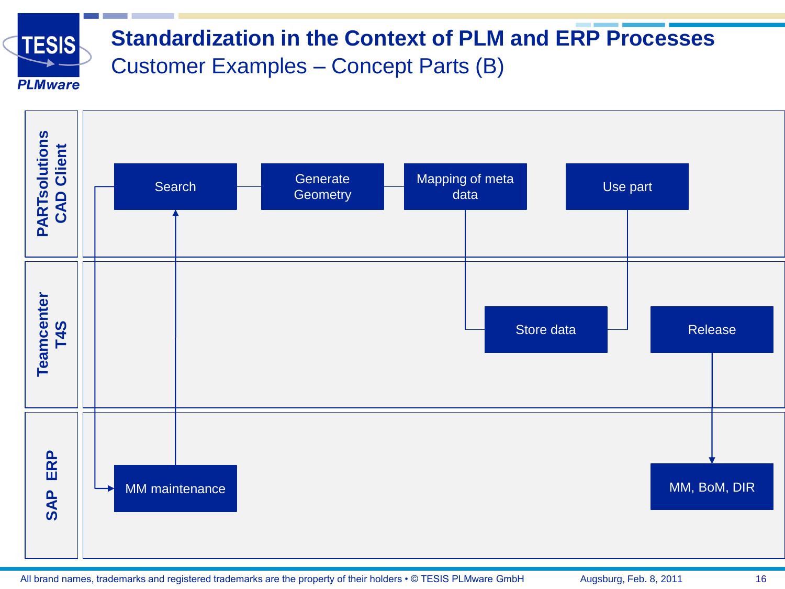

### **Standardization in the Context of PLM and ERP Processes** Customer Examples – Concept Parts (B)

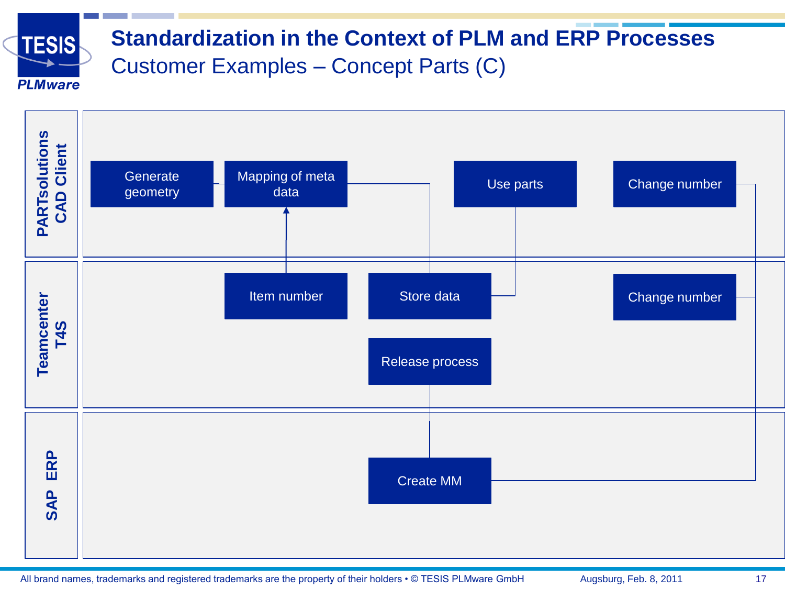

### **Standardization in the Context of PLM and ERP Processes** Customer Examples – Concept Parts (C)

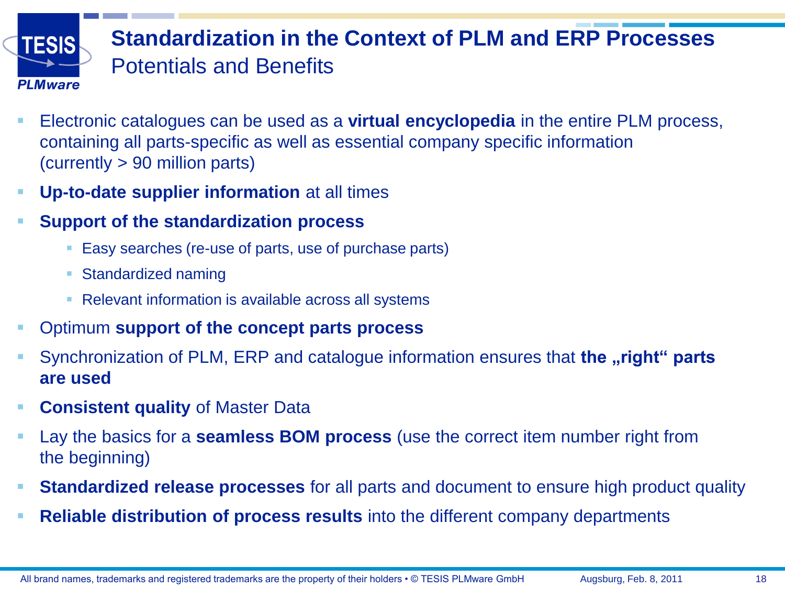

## **Standardization in the Context of PLM and ERP Processes** Potentials and Benefits

- Electronic catalogues can be used as a **virtual encyclopedia** in the entire PLM process, containing all parts-specific as well as essential company specific information (currently > 90 million parts)
- **Up-to-date supplier information** at all times
- **Support of the standardization process**
	- Easy searches (re-use of parts, use of purchase parts)
	- **Standardized naming**
	- Relevant information is available across all systems
- Optimum **support of the concept parts process**
- Synchronization of PLM, ERP and catalogue information ensures that **the "right" parts are used**
- **Consistent quality** of Master Data
- Lay the basics for a **seamless BOM process** (use the correct item number right from the beginning)
- **Standardized release processes** for all parts and document to ensure high product quality
- **Reliable distribution of process results** into the different company departments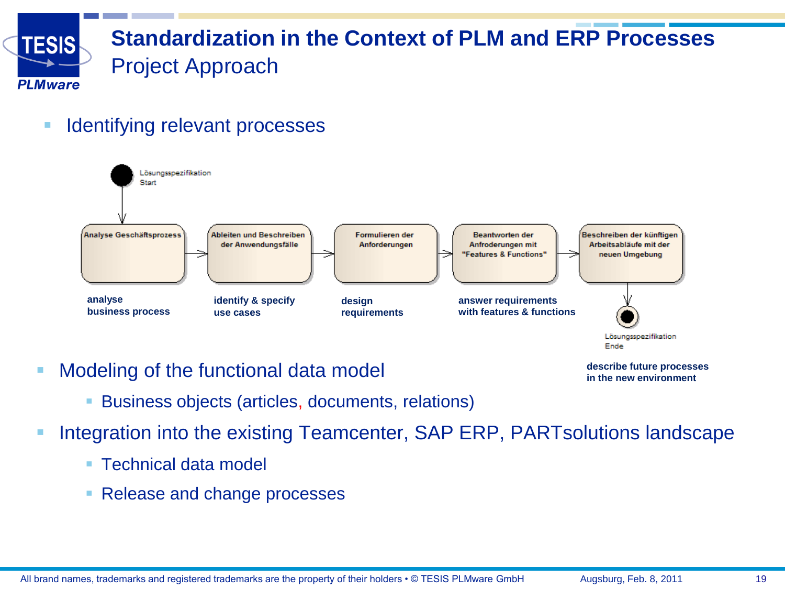

### **Standardization in the Context of PLM and ERP Processes** Project Approach

**Identifying relevant processes** 



- **Modeling of the functional data model** 
	- Business objects (articles, documents, relations)
- **Integration into the existing Teamcenter, SAP ERP, PARTsolutions landscape** 
	- Technical data model
	- Release and change processes

**describe future processes in the new environment**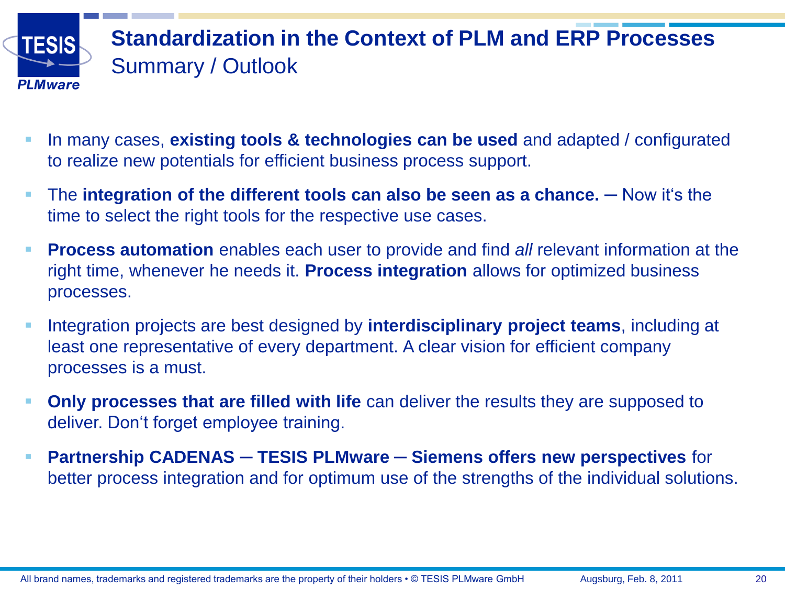

## **Standardization in the Context of PLM and ERP Processes** Summary / Outlook

- In many cases, **existing tools & technologies can be used** and adapted / configurated to realize new potentials for efficient business process support.
- The **integration of the different tools can also be seen as a chance.** Now it s the time to select the right tools for the respective use cases.
- **Process automation** enables each user to provide and find *all* relevant information at the right time, whenever he needs it. **Process integration** allows for optimized business processes.
- Integration projects are best designed by **interdisciplinary project teams**, including at least one representative of every department. A clear vision for efficient company processes is a must.
- **Only processes that are filled with life** can deliver the results they are supposed to deliver. Don't forget employee training.
- **Partnership CADENAS** ─ **TESIS PLMware** ─ **Siemens offers new perspectives** for better process integration and for optimum use of the strengths of the individual solutions.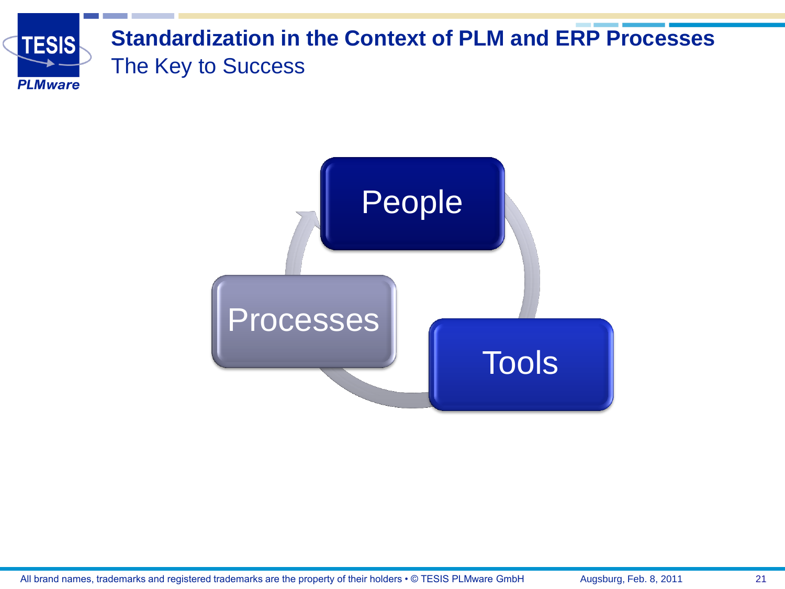